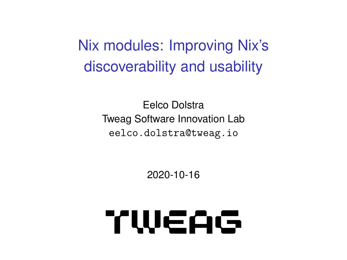Nix modules: Improving Nix's discoverability and usability

> Eelco Dolstra Tweag Software Innovation Lab eelco.dolstra@tweag.io

> > 2020-10-16

# TWEAG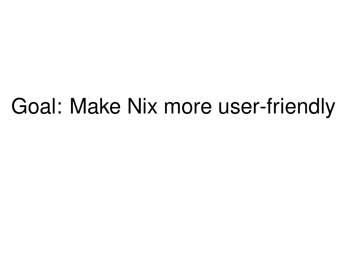## Goal: Make Nix more user-friendly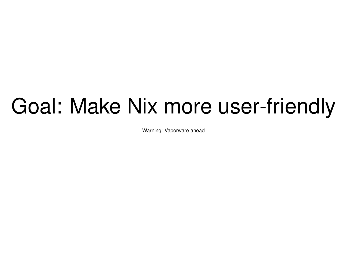## Goal: Make Nix more user-friendly

Warning: Vaporware ahead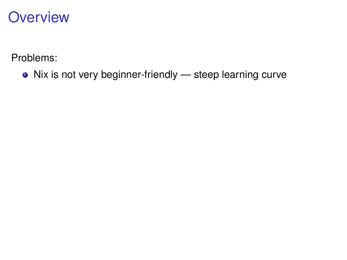Problems:

Nix is not very beginner-friendly — steep learning curve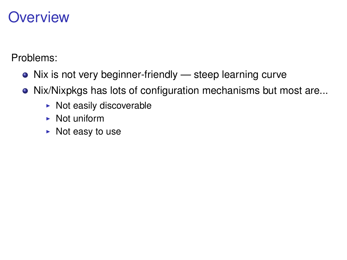- Nix is not very beginner-friendly steep learning curve
- Nix/Nixpkgs has lots of configuration mechanisms but most are...
	- $\triangleright$  Not easily discoverable
	- $\blacktriangleright$  Not uniform
	- $\triangleright$  Not easy to use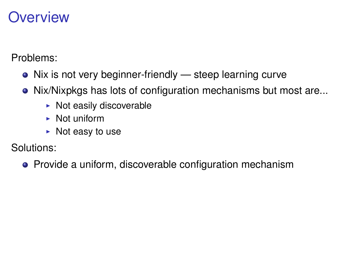Problems:

- Nix is not very beginner-friendly steep learning curve
- Nix/Nixpkgs has lots of configuration mechanisms but most are...
	- $\triangleright$  Not easily discoverable
	- $\blacktriangleright$  Not uniform
	- $\triangleright$  Not easy to use

Solutions:

• Provide a uniform, discoverable configuration mechanism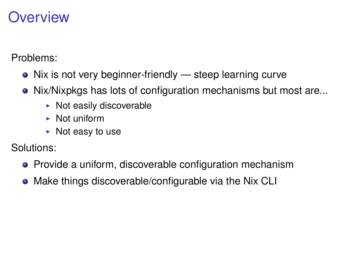Problems:

- Nix is not very beginner-friendly steep learning curve
- Nix/Nixpkgs has lots of configuration mechanisms but most are...
	- $\triangleright$  Not easily discoverable
	- $\blacktriangleright$  Not uniform
	- $\triangleright$  Not easy to use

Solutions:

- **•** Provide a uniform, discoverable configuration mechanism
- Make things discoverable/configurable via the Nix CLI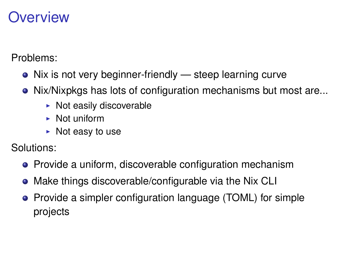Problems:

- Nix is not very beginner-friendly steep learning curve
- Nix/Nixpkgs has lots of configuration mechanisms but most are...
	- $\triangleright$  Not easily discoverable
	- $\blacktriangleright$  Not uniform
	- $\triangleright$  Not easy to use

Solutions:

- **•** Provide a uniform, discoverable configuration mechanism
- Make things discoverable/configurable via the Nix CLI
- Provide a simpler configuration language (TOML) for simple projects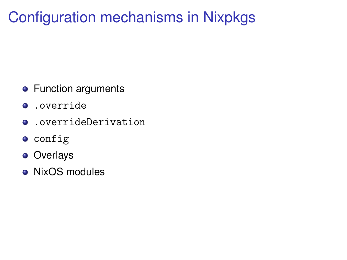### Configuration mechanisms in Nixpkgs

- **•** Function arguments
- .override
- .overrideDerivation
- **o** config
- **o** Overlays
- NixOS modules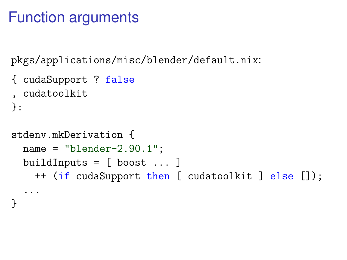#### Function arguments

}

pkgs/applications/misc/blender/default.nix:

```
{ cudaSupport ? false
, cudatoolkit
}:
stdenv.mkDerivation {
  name = "blender-2.90.1";buildInputs = [ boost \ldots]++ (if cudaSupport then [ cudatoolkit ] else []);
  ...
```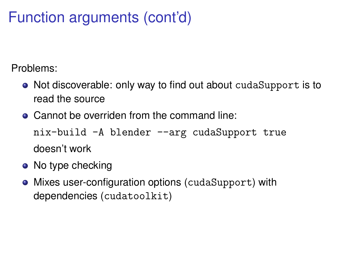### Function arguments (cont'd)

- Not discoverable: only way to find out about cudaSupport is to read the source
- Cannot be overriden from the command line:

```
nix-build -A blender --arg cudaSupport true
doesn't work
```
- No type checking
- Mixes user-configuration options (cudaSupport) with dependencies (cudatoolkit)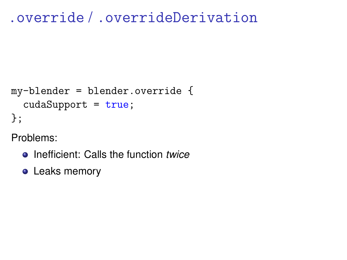#### .override / .overrideDerivation

```
my-blender = blender.override {
  cudaSupport = true;
};
```
- Inefficient: Calls the function *twice*
- **•** Leaks memory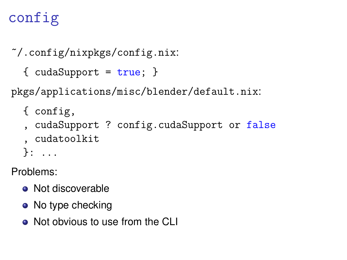## config

```
~/.config/nixpkgs/config.nix:
```

```
{cudaSupport = true; }
```
pkgs/applications/misc/blender/default.nix:

```
{ config,
```
- , cudaSupport ? config.cudaSupport or false , cudatoolkit
- }: ...

- Not discoverable
- No type checking
- Not obvious to use from the CLI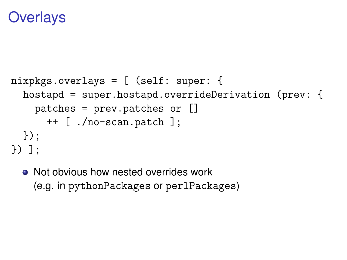#### **Overlays**

```
nixpkgs.overlays = [ (self: super: {
  hostapd = super.hostapd.overrideDerivation (prev: {
    patches = prev.patches or []
      ++ [ ./no-scan.patch ];
  });
}) ];
```
• Not obvious how nested overrides work (e.g. in pythonPackages or perlPackages)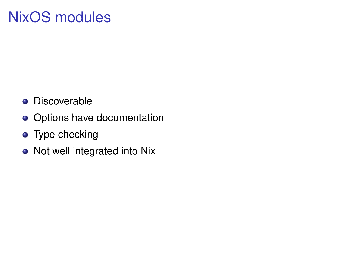### NixOS modules

- **•** Discoverable
- **o** Options have documentation
- Type checking
- Not well integrated into Nix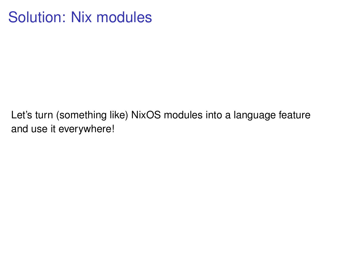#### Solution: Nix modules

Let's turn (something like) NixOS modules into a language feature and use it everywhere!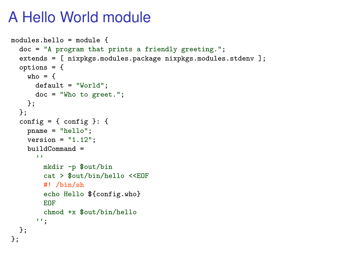#### A Hello World module

```
modules.hello = module {
  doc = "A program that prints a friendly greeting.";
  extends = [ nixpkgs.modules.package nixpkgs.modules.stdenv ];
  options = {
    who = fdefault = "World";
     doc = "Who to greet.";
    };
  };
  config = { config }: {
    pname = "hello";
    version = "1.12":
    buildCommand =
      ''
        mkdir -p $out/bin
        cat > $out/bin/hello <<EOF
        #! /bin/sh
        echo Hello ${config.who}
        EOF
        chmod +x $out/bin/hello
      ' ;
  };
};
```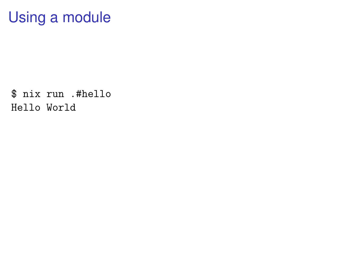#### Using a module

\$ nix run .#hello Hello World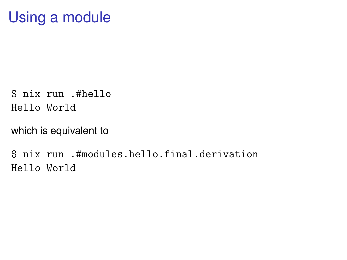#### Using a module

\$ nix run .#hello Hello World

which is equivalent to

\$ nix run .#modules.hello.final.derivation Hello World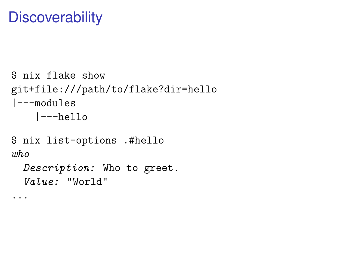#### **Discoverability**

...

```
$ nix flake show
git+file:///path/to/flake?dir=hello
|---modules
    |---hello
$ nix list-options .#hello
who
```
Description: Who to greet. Value: "World"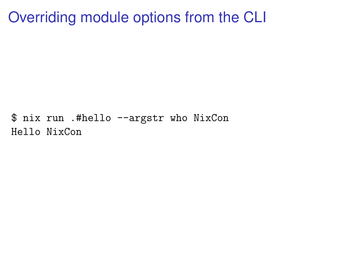Overriding module options from the CLI

\$ nix run .#hello --argstr who NixCon Hello NixCon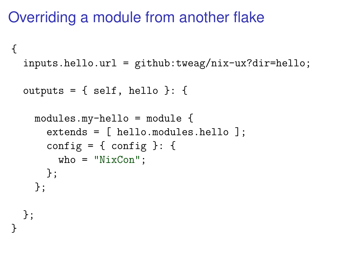#### Overriding a module from another flake

```
{
  inputs.hello.url = github:tweag/nix-ux?dir=hello;
  outputs = \{ self, hello \}: \{modules.my-hello = module {
      extends = [ hello.modules.hello ];
      config = { config }: {
        who = "NixCon";};
    };
 };
}
```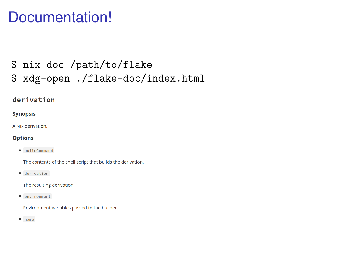#### Documentation!

#### \$ nix doc /path/to/flake \$ xdg-open ./flake-doc/index.html

#### derivation

#### **Synopsis**

A Nix derivation.

#### **Options**

· buildCommand

The contents of the shell script that builds the derivation.

· derivation

The resulting derivation.

· environment

Environment variables passed to the builder.

 $•$  name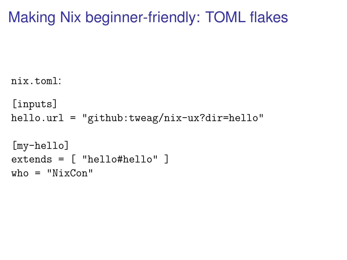#### Making Nix beginner-friendly: TOML flakes

```
nix.toml:
[inputs]
hello.url = "github:tweag/nix-ux?dir=hello"
[my-hello]
extends = [ "hello#hello" ]
who = "NixCon"
```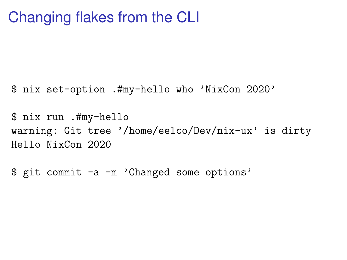#### Changing flakes from the CLI

\$ nix set-option .#my-hello who 'NixCon 2020'

\$ nix run .#my-hello warning: Git tree '/home/eelco/Dev/nix-ux' is dirty Hello NixCon 2020

\$ git commit -a -m 'Changed some options'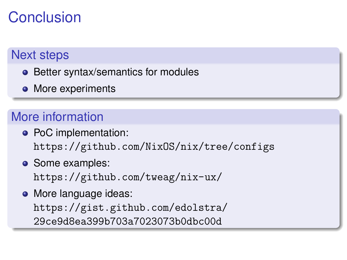#### Conclusion

#### Next steps

- Better syntax/semantics for modules
- More experiments

#### More information

- PoC implementation: <https://github.com/NixOS/nix/tree/configs>
- Some examples: <https://github.com/tweag/nix-ux/>
- More language ideas: [https://gist.github.com/edolstra/](https://gist.github.com/edolstra/29ce9d8ea399b703a7023073b0dbc00d) [29ce9d8ea399b703a7023073b0dbc00d](https://gist.github.com/edolstra/29ce9d8ea399b703a7023073b0dbc00d)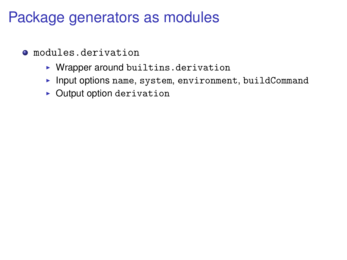- modules.derivation
	- $\blacktriangleright$  Wrapper around builtins.derivation
	- Input options name, system, environment, buildCommand
	- $\triangleright$  Output option derivation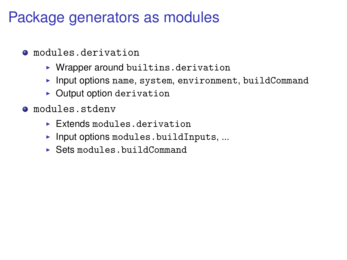- modules.derivation
	- $\blacktriangleright$  Wrapper around builtins.derivation
	- $\blacktriangleright$  Input options name, system, environment, buildCommand
	- $\triangleright$  Output option derivation
- modules.stdenv
	- $\blacktriangleright$  Extends modules derivation
	- $\blacktriangleright$  Input options modules.buildInputs, ...
	- $\triangleright$  Sets modules.buildCommand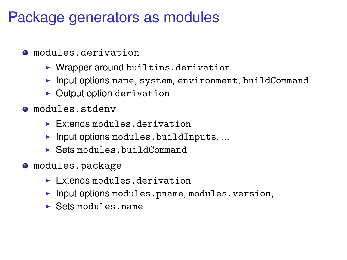- modules.derivation
	- $\triangleright$  Wrapper around builtins.derivation
	- Input options name, system, environment, buildCommand
	- $\triangleright$  Output option derivation
- modules.stdenv
	- $\blacktriangleright$  Extends modules derivation
	- $\blacktriangleright$  Input options modules.buildInputs, ...
	- $\triangleright$  Sets modules.buildCommand
- modules.package
	- $\blacktriangleright$  Extends modules derivation
	- $\blacktriangleright$  Input options modules.pname, modules.version,
	- $\blacktriangleright$  Sets modules.name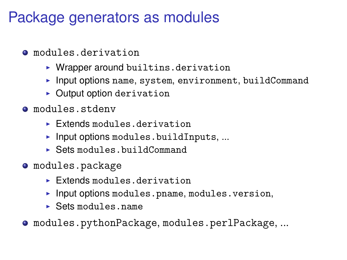- modules.derivation
	- $\triangleright$  Wrapper around builtins.derivation
	- Input options name, system, environment, buildCommand
	- $\triangleright$  Output option derivation
- modules.stdenv
	- $\blacktriangleright$  Extends modules derivation
	- $\blacktriangleright$  Input options modules.buildInputs, ...
	- $\triangleright$  Sets modules.buildCommand
- modules.package
	- $\blacktriangleright$  Extends modules derivation
	- $\blacktriangleright$  Input options modules.pname, modules.version,
	- $\blacktriangleright$  Sets modules.name

modules.pythonPackage, modules.perlPackage, ...